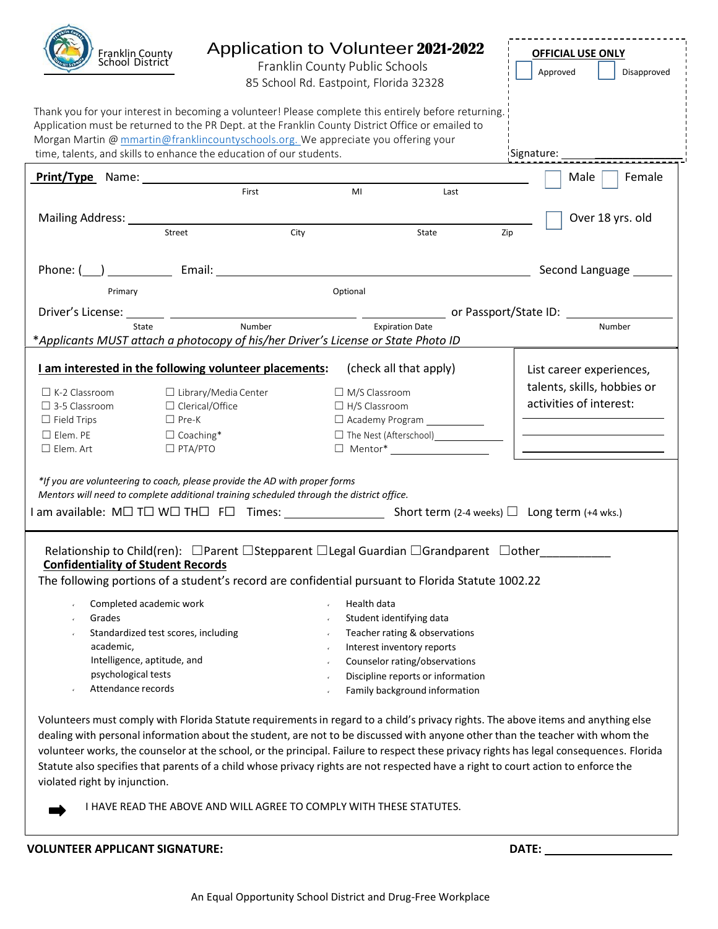|                                                                     | Franklin County<br>School District                     | Application to Volunteer 2021-2022<br>Franklin County Public Schools<br>85 School Rd. Eastpoint, Florida 32328                                                                                                                                                                                  |                                                      |     | <b>OFFICIAL USE ONLY</b><br>Disapproved<br>Approved        |
|---------------------------------------------------------------------|--------------------------------------------------------|-------------------------------------------------------------------------------------------------------------------------------------------------------------------------------------------------------------------------------------------------------------------------------------------------|------------------------------------------------------|-----|------------------------------------------------------------|
|                                                                     |                                                        | Thank you for your interest in becoming a volunteer! Please complete this entirely before returning.<br>Application must be returned to the PR Dept. at the Franklin County District Office or emailed to<br>Morgan Martin @ mmartin@franklincountyschools.org. We appreciate you offering your |                                                      |     |                                                            |
| time, talents, and skills to enhance the education of our students. |                                                        |                                                                                                                                                                                                                                                                                                 |                                                      |     | Signature:                                                 |
|                                                                     |                                                        | Print/Type Name: 1990 Manual Manual Manual Manual Manual Manual Manual Manual Manual Manual Manual Manual Manu                                                                                                                                                                                  |                                                      |     | Female<br>Male                                             |
|                                                                     |                                                        | First<br>MI                                                                                                                                                                                                                                                                                     | Last                                                 |     |                                                            |
|                                                                     |                                                        |                                                                                                                                                                                                                                                                                                 |                                                      |     |                                                            |
|                                                                     | Street                                                 | City                                                                                                                                                                                                                                                                                            | State                                                | Zip | Over 18 yrs. old                                           |
|                                                                     |                                                        |                                                                                                                                                                                                                                                                                                 |                                                      |     |                                                            |
|                                                                     |                                                        |                                                                                                                                                                                                                                                                                                 |                                                      |     | Second Language                                            |
| Primary                                                             |                                                        | Optional                                                                                                                                                                                                                                                                                        |                                                      |     |                                                            |
|                                                                     |                                                        |                                                                                                                                                                                                                                                                                                 |                                                      |     |                                                            |
|                                                                     | State                                                  | Number                                                                                                                                                                                                                                                                                          | <b>Expiration Date</b>                               |     | Number                                                     |
|                                                                     |                                                        | *Applicants MUST attach a photocopy of his/her Driver's License or State Photo ID                                                                                                                                                                                                               |                                                      |     |                                                            |
|                                                                     |                                                        |                                                                                                                                                                                                                                                                                                 |                                                      |     |                                                            |
|                                                                     | I am interested in the following volunteer placements: |                                                                                                                                                                                                                                                                                                 | (check all that apply)                               |     | List career experiences,                                   |
| $\Box$ K-2 Classroom                                                | $\Box$ Library/Media Center                            |                                                                                                                                                                                                                                                                                                 | $\Box$ M/S Classroom                                 |     | talents, skills, hobbies or                                |
| $\Box$ 3-5 Classroom                                                | □ Clerical/Office                                      |                                                                                                                                                                                                                                                                                                 | $\Box$ H/S Classroom                                 |     | activities of interest:                                    |
| $\Box$ Field Trips                                                  | $\Box$ Pre-K                                           |                                                                                                                                                                                                                                                                                                 | □ Academy Program ____________                       |     |                                                            |
| $\Box$ Elem. PE                                                     | $\Box$ Coaching*                                       |                                                                                                                                                                                                                                                                                                 | □ The Nest (Afterschool)<br>□ The Nest (Afterschool) |     | <u> Alexandria de la contrada de la contrada de la con</u> |
| $\square$ Elem. Art                                                 | $\Box$ PTA/PTO                                         |                                                                                                                                                                                                                                                                                                 |                                                      |     |                                                            |
|                                                                     |                                                        | *If you are volunteering to coach, please provide the AD with proper forms<br>Mentors will need to complete additional training scheduled through the district office.                                                                                                                          |                                                      |     |                                                            |
|                                                                     |                                                        |                                                                                                                                                                                                                                                                                                 |                                                      |     |                                                            |
|                                                                     |                                                        |                                                                                                                                                                                                                                                                                                 |                                                      |     |                                                            |
| <b>Confidentiality of Student Records</b>                           |                                                        | Relationship to Child(ren): □Parent □Stepparent □Legal Guardian □Grandparent □other<br>The following portions of a student's record are confidential pursuant to Florida Statute 1002.22                                                                                                        |                                                      |     |                                                            |
|                                                                     |                                                        |                                                                                                                                                                                                                                                                                                 |                                                      |     |                                                            |
|                                                                     | Completed academic work                                |                                                                                                                                                                                                                                                                                                 | Health data                                          |     |                                                            |
| Grades                                                              |                                                        |                                                                                                                                                                                                                                                                                                 | Student identifying data                             |     |                                                            |
|                                                                     | Standardized test scores, including                    |                                                                                                                                                                                                                                                                                                 | Teacher rating & observations                        |     |                                                            |
| academic,                                                           |                                                        |                                                                                                                                                                                                                                                                                                 | Interest inventory reports                           |     |                                                            |
|                                                                     | Intelligence, aptitude, and                            |                                                                                                                                                                                                                                                                                                 | Counselor rating/observations                        |     |                                                            |
| psychological tests                                                 |                                                        |                                                                                                                                                                                                                                                                                                 | Discipline reports or information                    |     |                                                            |
| Attendance records                                                  |                                                        |                                                                                                                                                                                                                                                                                                 | Family background information                        |     |                                                            |

 **VOLUNTEER APPLICANT SIGNATURE: DATE:**